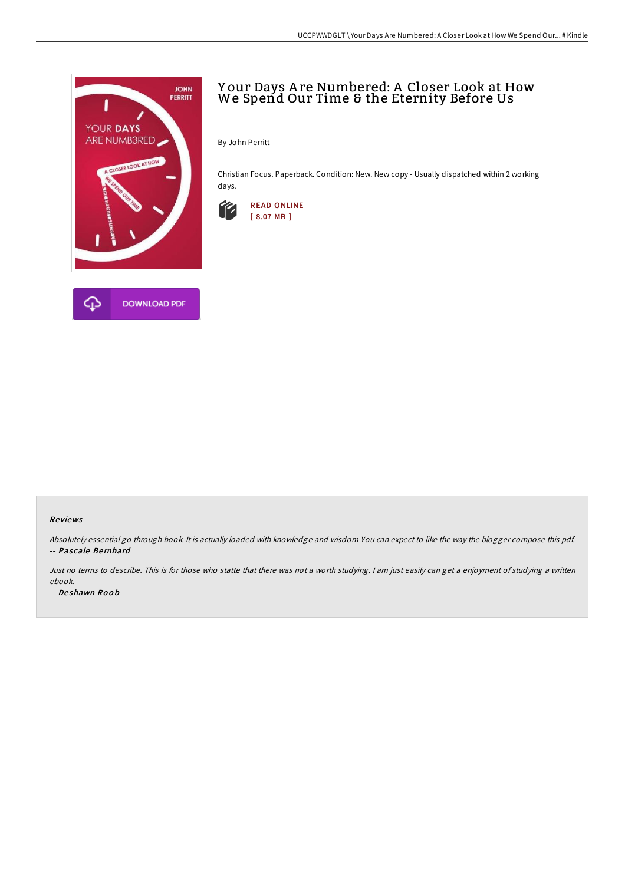

# Y our Days A re Numbered: A Closer Look at How We Spend Our Time & the Eternity Before Us

By John Perritt

Christian Focus. Paperback. Condition: New. New copy - Usually dispatched within 2 working days.



### Re views

Absolutely essential go through book. It is actually loaded with knowledge and wisdom You can expect to like the way the blogger compose this pdf. -- Pascale Bernhard

Just no terms to describe. This is for those who statte that there was not a worth studying. I am just easily can get a enjoyment of studying a written ebook.

-- De shawn Ro o b